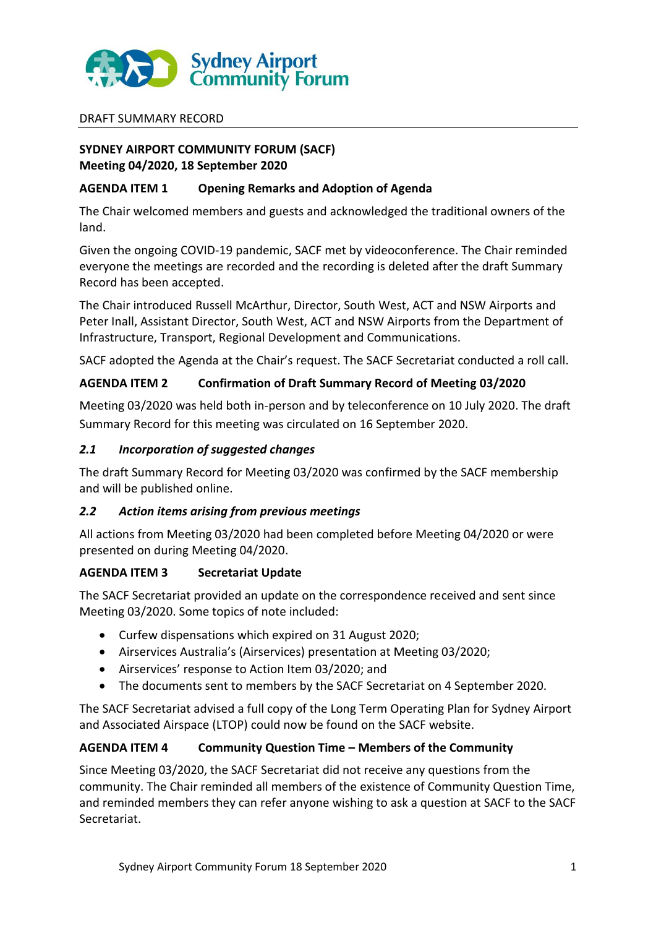

## DRAFT SUMMARY RECORD

# **SYDNEY AIRPORT COMMUNITY FORUM (SACF) Meeting 04/2020, 18 September 2020**

## **AGENDA ITEM 1 Opening Remarks and Adoption of Agenda**

The Chair welcomed members and guests and acknowledged the traditional owners of the land.

Given the ongoing COVID-19 pandemic, SACF met by videoconference. The Chair reminded everyone the meetings are recorded and the recording is deleted after the draft Summary Record has been accepted.

The Chair introduced Russell McArthur, Director, South West, ACT and NSW Airports and Peter Inall, Assistant Director, South West, ACT and NSW Airports from the Department of Infrastructure, Transport, Regional Development and Communications.

SACF adopted the Agenda at the Chair's request. The SACF Secretariat conducted a roll call.

# **AGENDA ITEM 2 Confirmation of Draft Summary Record of Meeting 03/2020**

Meeting 03/2020 was held both in-person and by teleconference on 10 July 2020. The draft Summary Record for this meeting was circulated on 16 September 2020.

## *2.1 Incorporation of suggested changes*

The draft Summary Record for Meeting 03/2020 was confirmed by the SACF membership and will be published online.

# *2.2 Action items arising from previous meetings*

All actions from Meeting 03/2020 had been completed before Meeting 04/2020 or were presented on during Meeting 04/2020.

## **AGENDA ITEM 3 Secretariat Update**

The SACF Secretariat provided an update on the correspondence received and sent since Meeting 03/2020. Some topics of note included:

- Curfew dispensations which expired on 31 August 2020;
- Airservices Australia's (Airservices) presentation at Meeting 03/2020;
- Airservices' response to Action Item 03/2020; and
- The documents sent to members by the SACF Secretariat on 4 September 2020.

The SACF Secretariat advised a full copy of the Long Term Operating Plan for Sydney Airport and Associated Airspace (LTOP) could now be found on the SACF website.

## **AGENDA ITEM 4 Community Question Time – Members of the Community**

Since Meeting 03/2020, the SACF Secretariat did not receive any questions from the community. The Chair reminded all members of the existence of Community Question Time, and reminded members they can refer anyone wishing to ask a question at SACF to the SACF Secretariat.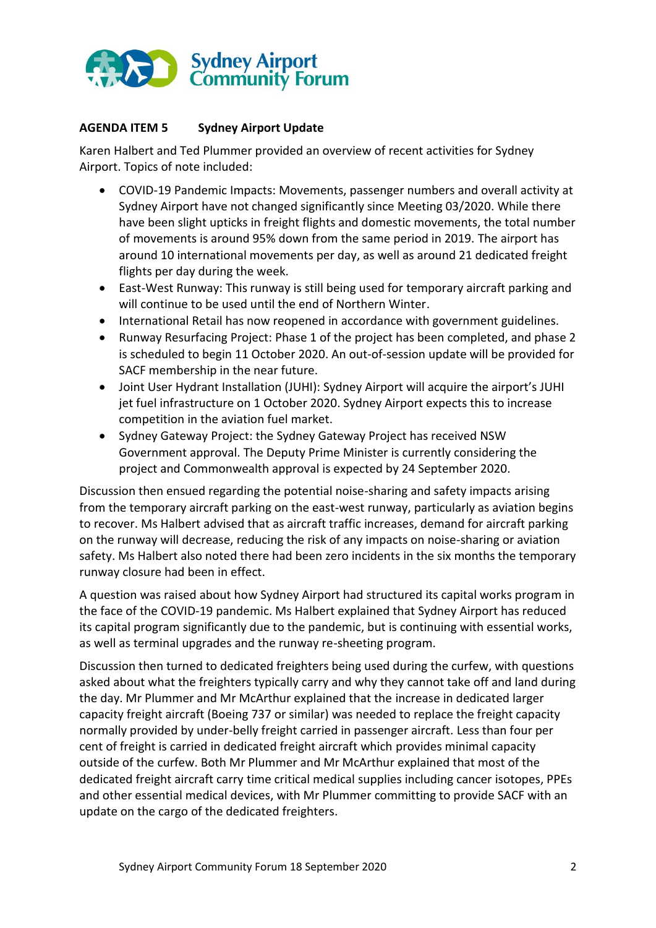

# **AGENDA ITEM 5 Sydney Airport Update**

Karen Halbert and Ted Plummer provided an overview of recent activities for Sydney Airport. Topics of note included:

- COVID-19 Pandemic Impacts: Movements, passenger numbers and overall activity at Sydney Airport have not changed significantly since Meeting 03/2020. While there have been slight upticks in freight flights and domestic movements, the total number of movements is around 95% down from the same period in 2019. The airport has around 10 international movements per day, as well as around 21 dedicated freight flights per day during the week.
- East-West Runway: This runway is still being used for temporary aircraft parking and will continue to be used until the end of Northern Winter.
- International Retail has now reopened in accordance with government guidelines.
- Runway Resurfacing Project: Phase 1 of the project has been completed, and phase 2 is scheduled to begin 11 October 2020. An out-of-session update will be provided for SACF membership in the near future.
- Joint User Hydrant Installation (JUHI): Sydney Airport will acquire the airport's JUHI jet fuel infrastructure on 1 October 2020. Sydney Airport expects this to increase competition in the aviation fuel market.
- Sydney Gateway Project: the Sydney Gateway Project has received NSW Government approval. The Deputy Prime Minister is currently considering the project and Commonwealth approval is expected by 24 September 2020.

Discussion then ensued regarding the potential noise-sharing and safety impacts arising from the temporary aircraft parking on the east-west runway, particularly as aviation begins to recover. Ms Halbert advised that as aircraft traffic increases, demand for aircraft parking on the runway will decrease, reducing the risk of any impacts on noise-sharing or aviation safety. Ms Halbert also noted there had been zero incidents in the six months the temporary runway closure had been in effect.

A question was raised about how Sydney Airport had structured its capital works program in the face of the COVID-19 pandemic. Ms Halbert explained that Sydney Airport has reduced its capital program significantly due to the pandemic, but is continuing with essential works, as well as terminal upgrades and the runway re-sheeting program.

Discussion then turned to dedicated freighters being used during the curfew, with questions asked about what the freighters typically carry and why they cannot take off and land during the day. Mr Plummer and Mr McArthur explained that the increase in dedicated larger capacity freight aircraft (Boeing 737 or similar) was needed to replace the freight capacity normally provided by under-belly freight carried in passenger aircraft. Less than four per cent of freight is carried in dedicated freight aircraft which provides minimal capacity outside of the curfew. Both Mr Plummer and Mr McArthur explained that most of the dedicated freight aircraft carry time critical medical supplies including cancer isotopes, PPEs and other essential medical devices, with Mr Plummer committing to provide SACF with an update on the cargo of the dedicated freighters.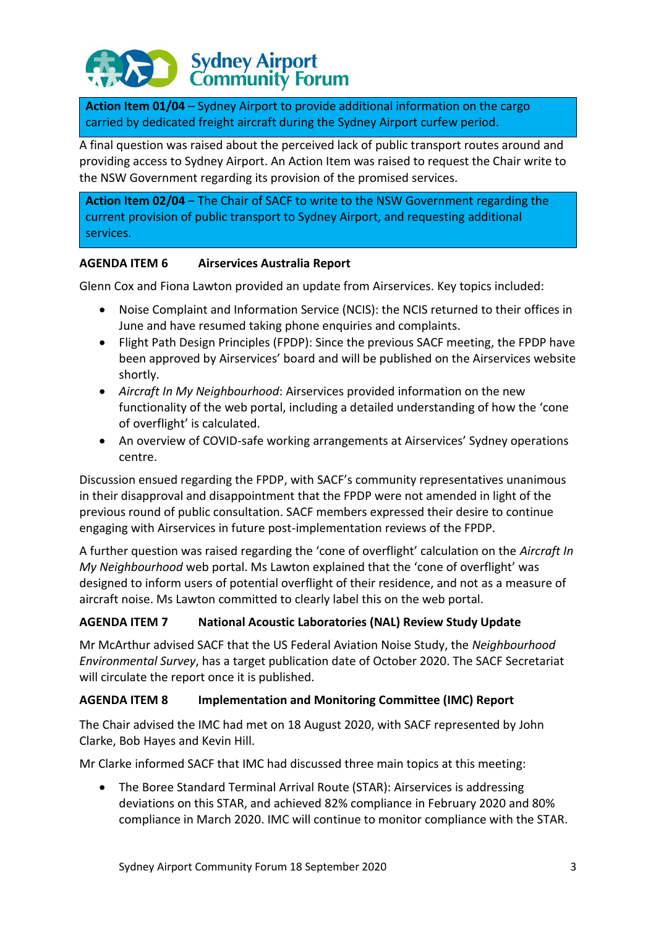# **Sydney Airport<br>Community Forum**

**Action Item 01/04** – Sydney Airport to provide additional information on the cargo carried by dedicated freight aircraft during the Sydney Airport curfew period.

A final question was raised about the perceived lack of public transport routes around and providing access to Sydney Airport. An Action Item was raised to request the Chair write to the NSW Government regarding its provision of the promised services.

**Action Item 02/04** – The Chair of SACF to write to the NSW Government regarding the current provision of public transport to Sydney Airport, and requesting additional services.

# **AGENDA ITEM 6 Airservices Australia Report**

Glenn Cox and Fiona Lawton provided an update from Airservices. Key topics included:

- Noise Complaint and Information Service (NCIS): the NCIS returned to their offices in June and have resumed taking phone enquiries and complaints.
- Flight Path Design Principles (FPDP): Since the previous SACF meeting, the FPDP have been approved by Airservices' board and will be published on the Airservices website shortly.
- *Aircraft In My Neighbourhood*: Airservices provided information on the new functionality of the web portal, including a detailed understanding of how the 'cone of overflight' is calculated.
- An overview of COVID-safe working arrangements at Airservices' Sydney operations centre.

Discussion ensued regarding the FPDP, with SACF's community representatives unanimous in their disapproval and disappointment that the FPDP were not amended in light of the previous round of public consultation. SACF members expressed their desire to continue engaging with Airservices in future post-implementation reviews of the FPDP.

A further question was raised regarding the 'cone of overflight' calculation on the *Aircraft In My Neighbourhood* web portal. Ms Lawton explained that the 'cone of overflight' was designed to inform users of potential overflight of their residence, and not as a measure of aircraft noise. Ms Lawton committed to clearly label this on the web portal.

# **AGENDA ITEM 7 National Acoustic Laboratories (NAL) Review Study Update**

Mr McArthur advised SACF that the US Federal Aviation Noise Study, the *Neighbourhood Environmental Survey*, has a target publication date of October 2020. The SACF Secretariat will circulate the report once it is published.

# **AGENDA ITEM 8 Implementation and Monitoring Committee (IMC) Report**

The Chair advised the IMC had met on 18 August 2020, with SACF represented by John Clarke, Bob Hayes and Kevin Hill.

Mr Clarke informed SACF that IMC had discussed three main topics at this meeting:

 The Boree Standard Terminal Arrival Route (STAR): Airservices is addressing deviations on this STAR, and achieved 82% compliance in February 2020 and 80% compliance in March 2020. IMC will continue to monitor compliance with the STAR.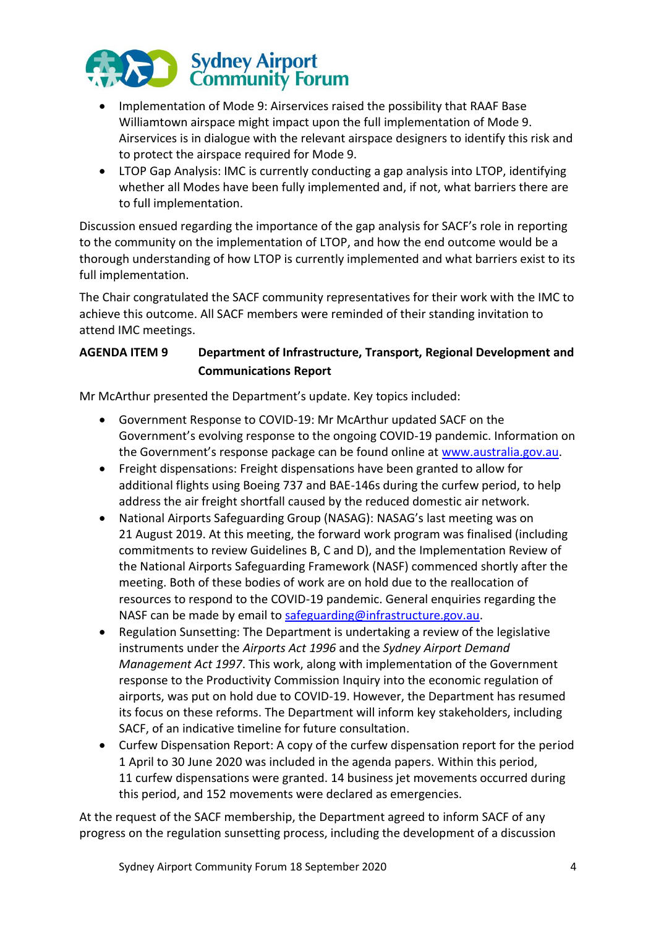

- Implementation of Mode 9: Airservices raised the possibility that RAAF Base Williamtown airspace might impact upon the full implementation of Mode 9. Airservices is in dialogue with the relevant airspace designers to identify this risk and to protect the airspace required for Mode 9.
- LTOP Gap Analysis: IMC is currently conducting a gap analysis into LTOP, identifying whether all Modes have been fully implemented and, if not, what barriers there are to full implementation.

Discussion ensued regarding the importance of the gap analysis for SACF's role in reporting to the community on the implementation of LTOP, and how the end outcome would be a thorough understanding of how LTOP is currently implemented and what barriers exist to its full implementation.

The Chair congratulated the SACF community representatives for their work with the IMC to achieve this outcome. All SACF members were reminded of their standing invitation to attend IMC meetings.

# **AGENDA ITEM 9 Department of Infrastructure, Transport, Regional Development and Communications Report**

Mr McArthur presented the Department's update. Key topics included:

- Government Response to COVID-19: Mr McArthur updated SACF on the Government's evolving response to the ongoing COVID-19 pandemic. Information on the Government's response package can be found online at [www.australia.gov.au.](http://www.australia.gov.au/)
- Freight dispensations: Freight dispensations have been granted to allow for additional flights using Boeing 737 and BAE-146s during the curfew period, to help address the air freight shortfall caused by the reduced domestic air network.
- National Airports Safeguarding Group (NASAG): NASAG's last meeting was on 21 August 2019. At this meeting, the forward work program was finalised (including commitments to review Guidelines B, C and D), and the Implementation Review of the National Airports Safeguarding Framework (NASF) commenced shortly after the meeting. Both of these bodies of work are on hold due to the reallocation of resources to respond to the COVID-19 pandemic. General enquiries regarding the NASF can be made by email to [safeguarding@infrastructure.gov.au.](mailto:safeguarding@infrastructure.gov.au)
- Regulation Sunsetting: The Department is undertaking a review of the legislative instruments under the *Airports Act 1996* and the *Sydney Airport Demand Management Act 1997*. This work, along with implementation of the Government response to the Productivity Commission Inquiry into the economic regulation of airports, was put on hold due to COVID-19. However, the Department has resumed its focus on these reforms. The Department will inform key stakeholders, including SACF, of an indicative timeline for future consultation.
- Curfew Dispensation Report: A copy of the curfew dispensation report for the period 1 April to 30 June 2020 was included in the agenda papers. Within this period, 11 curfew dispensations were granted. 14 business jet movements occurred during this period, and 152 movements were declared as emergencies.

At the request of the SACF membership, the Department agreed to inform SACF of any progress on the regulation sunsetting process, including the development of a discussion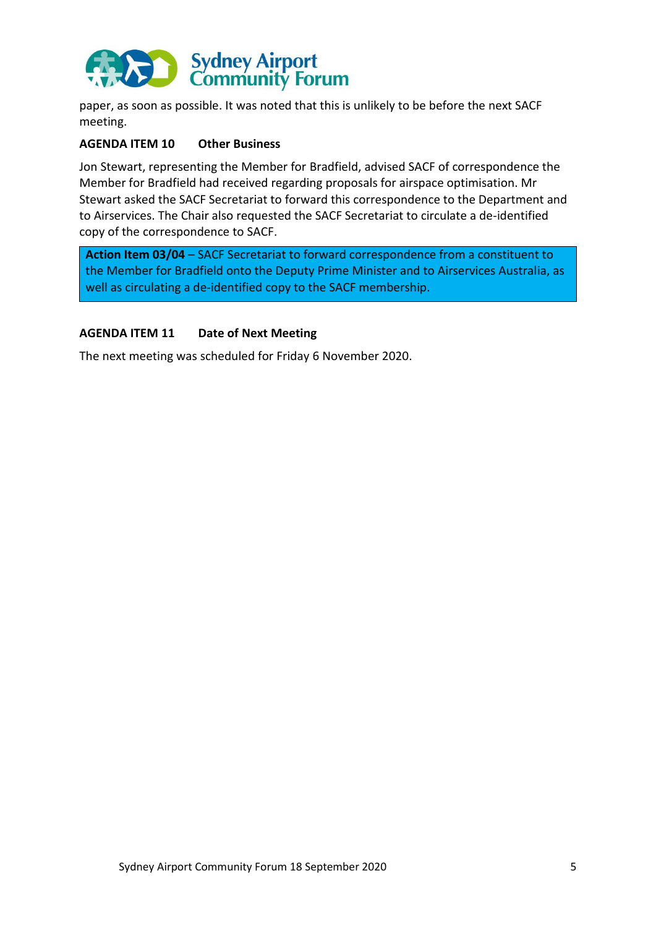

paper, as soon as possible. It was noted that this is unlikely to be before the next SACF meeting.

## **AGENDA ITEM 10 Other Business**

Jon Stewart, representing the Member for Bradfield, advised SACF of correspondence the Member for Bradfield had received regarding proposals for airspace optimisation. Mr Stewart asked the SACF Secretariat to forward this correspondence to the Department and to Airservices. The Chair also requested the SACF Secretariat to circulate a de-identified copy of the correspondence to SACF.

**Action Item 03/04** – SACF Secretariat to forward correspondence from a constituent to the Member for Bradfield onto the Deputy Prime Minister and to Airservices Australia, as well as circulating a de-identified copy to the SACF membership.

#### **AGENDA ITEM 11 Date of Next Meeting**

The next meeting was scheduled for Friday 6 November 2020.